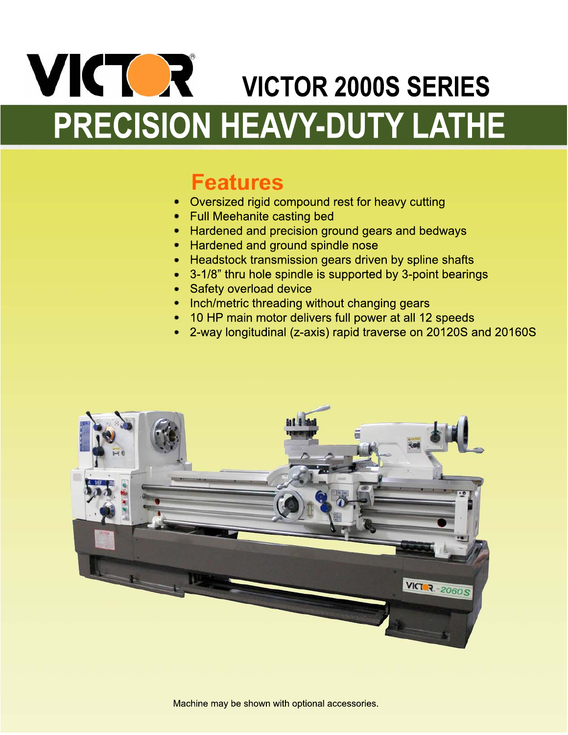# VICTOR 2000S SERIES PRECISION HEAVY-DUTY LATHE

### **Features**

- Oversized rigid compound rest for heavy cutting
- Full Meehanite casting bed
- Hardened and precision ground gears and bedways
- Hardened and ground spindle nose
- Headstock transmission gears driven by spline shafts
- 3-1/8" thru hole spindle is supported by 3-point bearings
- Safety overload device
- Inch/metric threading without changing gears
- 10 HP main motor delivers full power at all 12 speeds
- 2-way longitudinal (z-axis) rapid traverse on 20120S and 20160S